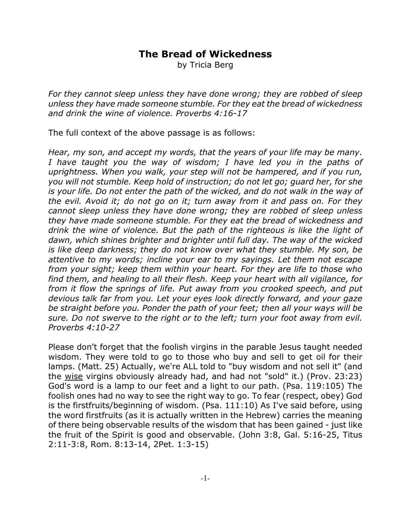## **The Bread of Wickedness**

by Tricia Berg

*For they cannot sleep unless they have done wrong; they are robbed of sleep unless they have made someone stumble. For they eat the bread of wickedness and drink the wine of violence. Proverbs 4:16-17*

The full context of the above passage is as follows:

*Hear, my son, and accept my words, that the years of your life may be many. I have taught you the way of wisdom; I have led you in the paths of uprightness. When you walk, your step will not be hampered, and if you run, you will not stumble. Keep hold of instruction; do not let go; guard her, for she is your life. Do not enter the path of the wicked, and do not walk in the way of the evil. Avoid it; do not go on it; turn away from it and pass on. For they cannot sleep unless they have done wrong; they are robbed of sleep unless they have made someone stumble. For they eat the bread of wickedness and drink the wine of violence. But the path of the righteous is like the light of dawn, which shines brighter and brighter until full day. The way of the wicked is like deep darkness; they do not know over what they stumble. My son, be attentive to my words; incline your ear to my sayings. Let them not escape from your sight; keep them within your heart. For they are life to those who find them, and healing to all their flesh. Keep your heart with all vigilance, for from it flow the springs of life. Put away from you crooked speech, and put devious talk far from you. Let your eyes look directly forward, and your gaze be straight before you. Ponder the path of your feet; then all your ways will be sure. Do not swerve to the right or to the left; turn your foot away from evil. Proverbs 4:10-27*

Please don't forget that the foolish virgins in the parable Jesus taught needed wisdom. They were told to go to those who buy and sell to get oil for their lamps. (Matt. 25) Actually, we're ALL told to "buy wisdom and not sell it" (and the wise virgins obviously already had, and had not "sold" it.) (Prov. 23:23) God's word is a lamp to our feet and a light to our path. (Psa. 119:105) The foolish ones had no way to see the right way to go. To fear (respect, obey) God is the firstfruits/beginning of wisdom. (Psa. 111:10) As I've said before, using the word firstfruits (as it is actually written in the Hebrew) carries the meaning of there being observable results of the wisdom that has been gained - just like the fruit of the Spirit is good and observable. (John 3:8, Gal. 5:16-25, Titus 2:11-3:8, Rom. 8:13-14, 2Pet. 1:3-15)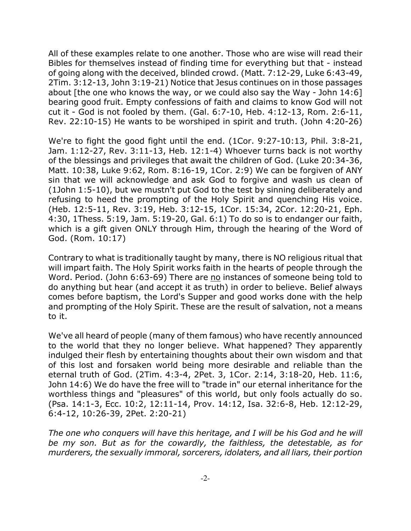All of these examples relate to one another. Those who are wise will read their Bibles for themselves instead of finding time for everything but that - instead of going along with the deceived, blinded crowd. (Matt. 7:12-29, Luke 6:43-49, 2Tim. 3:12-13, John 3:19-21) Notice that Jesus continues on in those passages about [the one who knows the way, or we could also say the Way - John 14:6] bearing good fruit. Empty confessions of faith and claims to know God will not cut it - God is not fooled by them. (Gal. 6:7-10, Heb. 4:12-13, Rom. 2:6-11, Rev. 22:10-15) He wants to be worshiped in spirit and truth. (John 4:20-26)

We're to fight the good fight until the end. (1Cor. 9:27-10:13, Phil. 3:8-21, Jam. 1:12-27, Rev. 3:11-13, Heb. 12:1-4) Whoever turns back is not worthy of the blessings and privileges that await the children of God. (Luke 20:34-36, Matt. 10:38, Luke 9:62, Rom. 8:16-19, 1Cor. 2:9) We can be forgiven of ANY sin that we will acknowledge and ask God to forgive and wash us clean of (1John 1:5-10), but we mustn't put God to the test by sinning deliberately and refusing to heed the prompting of the Holy Spirit and quenching His voice. (Heb. 12:5-11, Rev. 3:19, Heb. 3:12-15, 1Cor. 15:34, 2Cor. 12:20-21, Eph. 4:30, 1Thess. 5:19, Jam. 5:19-20, Gal. 6:1) To do so is to endanger our faith, which is a gift given ONLY through Him, through the hearing of the Word of God. (Rom. 10:17)

Contrary to what is traditionally taught by many, there is NO religious ritual that will impart faith. The Holy Spirit works faith in the hearts of people through the Word. Period. (John 6:63-69) There are no instances of someone being told to do anything but hear (and accept it as truth) in order to believe. Belief always comes before baptism, the Lord's Supper and good works done with the help and prompting of the Holy Spirit. These are the result of salvation, not a means to it.

We've all heard of people (many of them famous) who have recently announced to the world that they no longer believe. What happened? They apparently indulged their flesh by entertaining thoughts about their own wisdom and that of this lost and forsaken world being more desirable and reliable than the eternal truth of God. (2Tim. 4:3-4, 2Pet. 3, 1Cor. 2:14, 3:18-20, Heb. 11:6, John 14:6) We do have the free will to "trade in" our eternal inheritance for the worthless things and "pleasures" of this world, but only fools actually do so. (Psa. 14:1-3, Ecc. 10:2, 12:11-14, Prov. 14:12, Isa. 32:6-8, Heb. 12:12-29, 6:4-12, 10:26-39, 2Pet. 2:20-21)

*The one who conquers will have this heritage, and I will be his God and he will be my son. But as for the cowardly, the faithless, the detestable, as for murderers, the sexually immoral, sorcerers, idolaters, and all liars, their portion*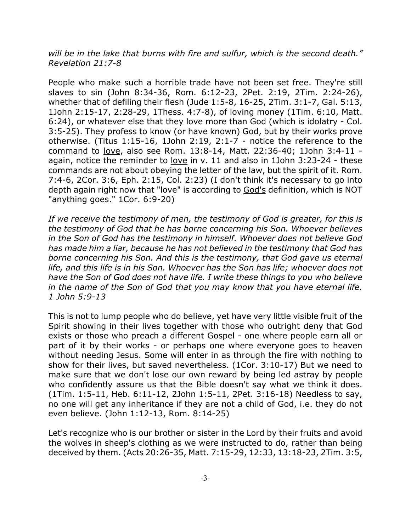*will be in the lake that burns with fire and sulfur, which is the second death." Revelation 21:7-8*

People who make such a horrible trade have not been set free. They're still slaves to sin (John 8:34-36, Rom. 6:12-23, 2Pet. 2:19, 2Tim. 2:24-26), whether that of defiling their flesh (Jude 1:5-8, 16-25, 2Tim. 3:1-7, Gal. 5:13, 1John 2:15-17, 2:28-29, 1Thess. 4:7-8), of loving money (1Tim. 6:10, Matt. 6:24), or whatever else that they love more than God (which is idolatry - Col. 3:5-25). They profess to know (or have known) God, but by their works prove otherwise. (Titus 1:15-16, 1John 2:19, 2:1-7 - notice the reference to the command to love, also see Rom. 13:8-14, Matt. 22:36-40; 1John 3:4-11 again, notice the reminder to love in v. 11 and also in 1John 3:23-24 - these commands are not about obeying the letter of the law, but the spirit of it. Rom. 7:4-6, 2Cor. 3:6, Eph. 2:15, Col. 2:23) (I don't think it's necessary to go into depth again right now that "love" is according to God's definition, which is NOT "anything goes." 1Cor. 6:9-20)

*If we receive the testimony of men, the testimony of God is greater, for this is the testimony of God that he has borne concerning his Son. Whoever believes in the Son of God has the testimony in himself. Whoever does not believe God has made him a liar, because he has not believed in the testimony that God has borne concerning his Son. And this is the testimony, that God gave us eternal life, and this life is in his Son. Whoever has the Son has life; whoever does not have the Son of God does not have life. I write these things to you who believe in the name of the Son of God that you may know that you have eternal life. 1 John 5:9-13*

This is not to lump people who do believe, yet have very little visible fruit of the Spirit showing in their lives together with those who outright deny that God exists or those who preach a different Gospel - one where people earn all or part of it by their works - or perhaps one where everyone goes to heaven without needing Jesus. Some will enter in as through the fire with nothing to show for their lives, but saved nevertheless. (1Cor. 3:10-17) But we need to make sure that we don't lose our own reward by being led astray by people who confidently assure us that the Bible doesn't say what we think it does. (1Tim. 1:5-11, Heb. 6:11-12, 2John 1:5-11, 2Pet. 3:16-18) Needless to say, no one will get any inheritance if they are not a child of God, i.e. they do not even believe. (John 1:12-13, Rom. 8:14-25)

Let's recognize who is our brother or sister in the Lord by their fruits and avoid the wolves in sheep's clothing as we were instructed to do, rather than being deceived by them. (Acts 20:26-35, Matt. 7:15-29, 12:33, 13:18-23, 2Tim. 3:5,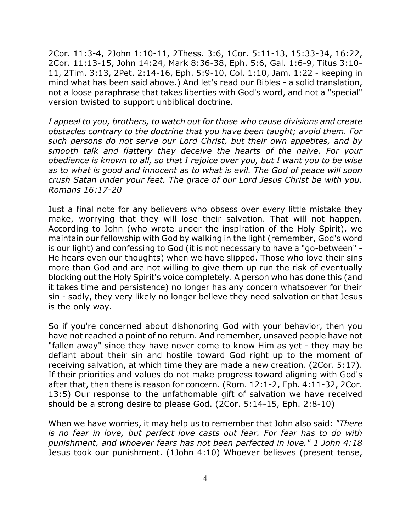2Cor. 11:3-4, 2John 1:10-11, 2Thess. 3:6, 1Cor. 5:11-13, 15:33-34, 16:22, 2Cor. 11:13-15, John 14:24, Mark 8:36-38, Eph. 5:6, Gal. 1:6-9, Titus 3:10- 11, 2Tim. 3:13, 2Pet. 2:14-16, Eph. 5:9-10, Col. 1:10, Jam. 1:22 - keeping in mind what has been said above.) And let's read our Bibles - a solid translation, not a loose paraphrase that takes liberties with God's word, and not a "special" version twisted to support unbiblical doctrine.

*I appeal to you, brothers, to watch out for those who cause divisions and create obstacles contrary to the doctrine that you have been taught; avoid them. For such persons do not serve our Lord Christ, but their own appetites, and by smooth talk and flattery they deceive the hearts of the naive. For your obedience is known to all, so that I rejoice over you, but I want you to be wise as to what is good and innocent as to what is evil. The God of peace will soon crush Satan under your feet. The grace of our Lord Jesus Christ be with you. Romans 16:17-20*

Just a final note for any believers who obsess over every little mistake they make, worrying that they will lose their salvation. That will not happen. According to John (who wrote under the inspiration of the Holy Spirit), we maintain our fellowship with God by walking in the light (remember, God's word is our light) and confessing to God (it is not necessary to have a "go-between" - He hears even our thoughts) when we have slipped. Those who love their sins more than God and are not willing to give them up run the risk of eventually blocking out the Holy Spirit's voice completely. A person who has done this (and it takes time and persistence) no longer has any concern whatsoever for their sin - sadly, they very likely no longer believe they need salvation or that Jesus is the only way.

So if you're concerned about dishonoring God with your behavior, then you have not reached a point of no return. And remember, unsaved people have not "fallen away" since they have never come to know Him as yet - they may be defiant about their sin and hostile toward God right up to the moment of receiving salvation, at which time they are made a new creation. (2Cor. 5:17). If their priorities and values do not make progress toward aligning with God's after that, then there is reason for concern. (Rom. 12:1-2, Eph. 4:11-32, 2Cor. 13:5) Our response to the unfathomable gift of salvation we have received should be a strong desire to please God. (2Cor. 5:14-15, Eph. 2:8-10)

When we have worries, it may help us to remember that John also said: *"There is no fear in love, but perfect love casts out fear. For fear has to do with punishment, and whoever fears has not been perfected in love." 1 John 4:18* Jesus took our punishment. (1John 4:10) Whoever believes (present tense,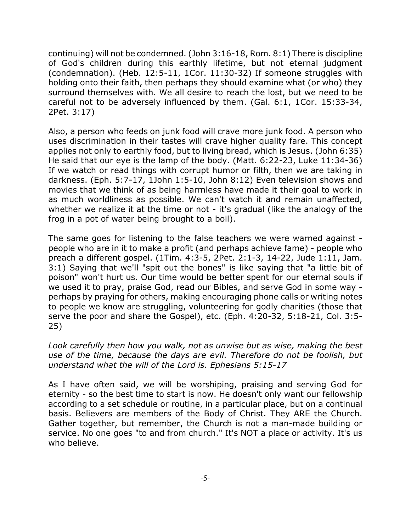continuing) will not be condemned. (John 3:16-18, Rom. 8:1) There is discipline of God's children during this earthly lifetime, but not eternal judgment (condemnation). (Heb. 12:5-11, 1Cor. 11:30-32) If someone struggles with holding onto their faith, then perhaps they should examine what (or who) they surround themselves with. We all desire to reach the lost, but we need to be careful not to be adversely influenced by them. (Gal. 6:1, 1Cor. 15:33-34, 2Pet. 3:17)

Also, a person who feeds on junk food will crave more junk food. A person who uses discrimination in their tastes will crave higher quality fare. This concept applies not only to earthly food, but to living bread, which is Jesus. (John 6:35) He said that our eye is the lamp of the body. (Matt. 6:22-23, Luke 11:34-36) If we watch or read things with corrupt humor or filth, then we are taking in darkness. (Eph. 5:7-17, 1John 1:5-10, John 8:12) Even television shows and movies that we think of as being harmless have made it their goal to work in as much worldliness as possible. We can't watch it and remain unaffected, whether we realize it at the time or not - it's gradual (like the analogy of the frog in a pot of water being brought to a boil).

The same goes for listening to the false teachers we were warned against people who are in it to make a profit (and perhaps achieve fame) - people who preach a different gospel. (1Tim. 4:3-5, 2Pet. 2:1-3, 14-22, Jude 1:11, Jam. 3:1) Saying that we'll "spit out the bones" is like saying that "a little bit of poison" won't hurt us. Our time would be better spent for our eternal souls if we used it to pray, praise God, read our Bibles, and serve God in some way perhaps by praying for others, making encouraging phone calls or writing notes to people we know are struggling, volunteering for godly charities (those that serve the poor and share the Gospel), etc. (Eph. 4:20-32, 5:18-21, Col. 3:5- 25)

*Look carefully then how you walk, not as unwise but as wise, making the best use of the time, because the days are evil. Therefore do not be foolish, but understand what the will of the Lord is. Ephesians 5:15-17*

As I have often said, we will be worshiping, praising and serving God for eternity - so the best time to start is now. He doesn't only want our fellowship according to a set schedule or routine, in a particular place, but on a continual basis. Believers are members of the Body of Christ. They ARE the Church. Gather together, but remember, the Church is not a man-made building or service. No one goes "to and from church." It's NOT a place or activity. It's us who believe.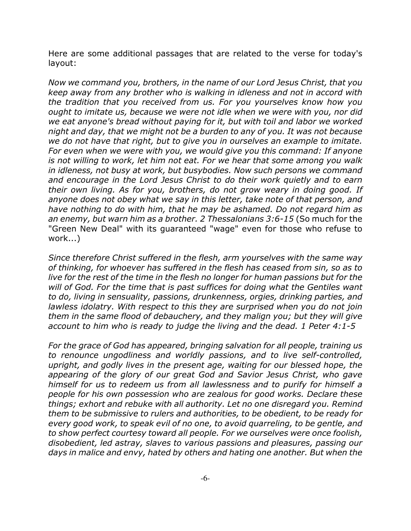Here are some additional passages that are related to the verse for today's layout:

*Now we command you, brothers, in the name of our Lord Jesus Christ, that you keep away from any brother who is walking in idleness and not in accord with the tradition that you received from us. For you yourselves know how you ought to imitate us, because we were not idle when we were with you, nor did we eat anyone's bread without paying for it, but with toil and labor we worked night and day, that we might not be a burden to any of you. It was not because we do not have that right, but to give you in ourselves an example to imitate. For even when we were with you, we would give you this command: If anyone is not willing to work, let him not eat. For we hear that some among you walk in idleness, not busy at work, but busybodies. Now such persons we command and encourage in the Lord Jesus Christ to do their work quietly and to earn their own living. As for you, brothers, do not grow weary in doing good. If anyone does not obey what we say in this letter, take note of that person, and have nothing to do with him, that he may be ashamed. Do not regard him as an enemy, but warn him as a brother. 2 Thessalonians 3:6-15* (So much for the "Green New Deal" with its guaranteed "wage" even for those who refuse to work...)

*Since therefore Christ suffered in the flesh, arm yourselves with the same way of thinking, for whoever has suffered in the flesh has ceased from sin, so as to live for the rest of the time in the flesh no longer for human passions but for the will of God. For the time that is past suffices for doing what the Gentiles want to do, living in sensuality, passions, drunkenness, orgies, drinking parties, and lawless idolatry. With respect to this they are surprised when you do not join them in the same flood of debauchery, and they malign you; but they will give account to him who is ready to judge the living and the dead. 1 Peter 4:1-5*

*For the grace of God has appeared, bringing salvation for all people, training us to renounce ungodliness and worldly passions, and to live self-controlled, upright, and godly lives in the present age, waiting for our blessed hope, the appearing of the glory of our great God and Savior Jesus Christ, who gave himself for us to redeem us from all lawlessness and to purify for himself a people for his own possession who are zealous for good works. Declare these things; exhort and rebuke with all authority. Let no one disregard you. Remind them to be submissive to rulers and authorities, to be obedient, to be ready for every good work, to speak evil of no one, to avoid quarreling, to be gentle, and to show perfect courtesy toward all people. For we ourselves were once foolish, disobedient, led astray, slaves to various passions and pleasures, passing our days in malice and envy, hated by others and hating one another. But when the*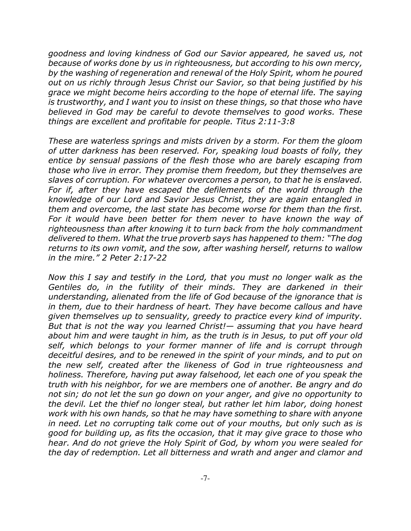*goodness and loving kindness of God our Savior appeared, he saved us, not because of works done by us in righteousness, but according to his own mercy, by the washing of regeneration and renewal of the Holy Spirit, whom he poured out on us richly through Jesus Christ our Savior, so that being justified by his grace we might become heirs according to the hope of eternal life. The saying is trustworthy, and I want you to insist on these things, so that those who have believed in God may be careful to devote themselves to good works. These things are excellent and profitable for people. Titus 2:11-3:8*

*These are waterless springs and mists driven by a storm. For them the gloom of utter darkness has been reserved. For, speaking loud boasts of folly, they entice by sensual passions of the flesh those who are barely escaping from those who live in error. They promise them freedom, but they themselves are slaves of corruption. For whatever overcomes a person, to that he is enslaved. For if, after they have escaped the defilements of the world through the knowledge of our Lord and Savior Jesus Christ, they are again entangled in them and overcome, the last state has become worse for them than the first. For it would have been better for them never to have known the way of righteousness than after knowing it to turn back from the holy commandment delivered to them. What the true proverb says has happened to them: "The dog returns to its own vomit, and the sow, after washing herself, returns to wallow in the mire." 2 Peter 2:17-22*

*Now this I say and testify in the Lord, that you must no longer walk as the Gentiles do, in the futility of their minds. They are darkened in their understanding, alienated from the life of God because of the ignorance that is in them, due to their hardness of heart. They have become callous and have given themselves up to sensuality, greedy to practice every kind of impurity. But that is not the way you learned Christ!— assuming that you have heard about him and were taught in him, as the truth is in Jesus, to put off your old self, which belongs to your former manner of life and is corrupt through deceitful desires, and to be renewed in the spirit of your minds, and to put on the new self, created after the likeness of God in true righteousness and holiness. Therefore, having put away falsehood, let each one of you speak the truth with his neighbor, for we are members one of another. Be angry and do not sin; do not let the sun go down on your anger, and give no opportunity to the devil. Let the thief no longer steal, but rather let him labor, doing honest work with his own hands, so that he may have something to share with anyone in need. Let no corrupting talk come out of your mouths, but only such as is good for building up, as fits the occasion, that it may give grace to those who hear. And do not grieve the Holy Spirit of God, by whom you were sealed for the day of redemption. Let all bitterness and wrath and anger and clamor and*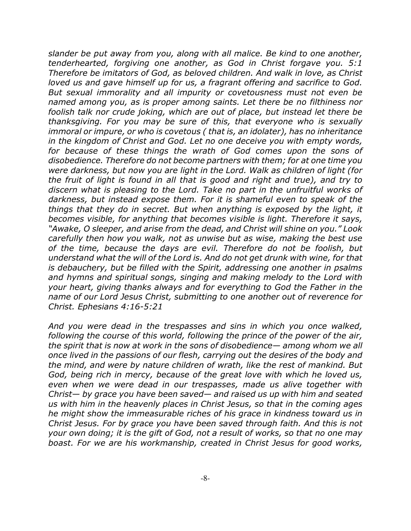*slander be put away from you, along with all malice. Be kind to one another, tenderhearted, forgiving one another, as God in Christ forgave you. 5:1 Therefore be imitators of God, as beloved children. And walk in love, as Christ loved us and gave himself up for us, a fragrant offering and sacrifice to God. But sexual immorality and all impurity or covetousness must not even be named among you, as is proper among saints. Let there be no filthiness nor foolish talk nor crude joking, which are out of place, but instead let there be thanksgiving. For you may be sure of this, that everyone who is sexually immoral or impure, or who is covetous ( that is, an idolater), has no inheritance in the kingdom of Christ and God. Let no one deceive you with empty words, for because of these things the wrath of God comes upon the sons of disobedience. Therefore do not become partners with them; for at one time you were darkness, but now you are light in the Lord. Walk as children of light (for the fruit of light is found in all that is good and right and true), and try to discern what is pleasing to the Lord. Take no part in the unfruitful works of darkness, but instead expose them. For it is shameful even to speak of the things that they do in secret. But when anything is exposed by the light, it becomes visible, for anything that becomes visible is light. Therefore it says, "Awake, O sleeper, and arise from the dead, and Christ will shine on you." Look carefully then how you walk, not as unwise but as wise, making the best use of the time, because the days are evil. Therefore do not be foolish, but understand what the will of the Lord is. And do not get drunk with wine, for that is debauchery, but be filled with the Spirit, addressing one another in psalms and hymns and spiritual songs, singing and making melody to the Lord with your heart, giving thanks always and for everything to God the Father in the name of our Lord Jesus Christ, submitting to one another out of reverence for Christ. Ephesians 4:16-5:21*

*And you were dead in the trespasses and sins in which you once walked, following the course of this world, following the prince of the power of the air, the spirit that is now at work in the sons of disobedience— among whom we all once lived in the passions of our flesh, carrying out the desires of the body and the mind, and were by nature children of wrath, like the rest of mankind. But God, being rich in mercy, because of the great love with which he loved us, even when we were dead in our trespasses, made us alive together with Christ— by grace you have been saved— and raised us up with him and seated us with him in the heavenly places in Christ Jesus, so that in the coming ages he might show the immeasurable riches of his grace in kindness toward us in Christ Jesus. For by grace you have been saved through faith. And this is not your own doing; it is the gift of God, not a result of works, so that no one may boast. For we are his workmanship, created in Christ Jesus for good works,*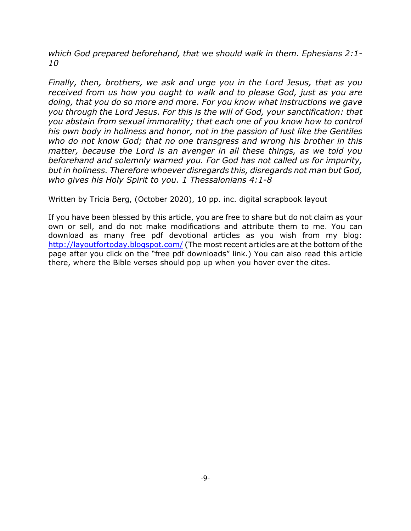*which God prepared beforehand, that we should walk in them. Ephesians 2:1- 10*

*Finally, then, brothers, we ask and urge you in the Lord Jesus, that as you received from us how you ought to walk and to please God, just as you are doing, that you do so more and more. For you know what instructions we gave you through the Lord Jesus. For this is the will of God, your sanctification: that you abstain from sexual immorality; that each one of you know how to control his own body in holiness and honor, not in the passion of lust like the Gentiles who do not know God; that no one transgress and wrong his brother in this matter, because the Lord is an avenger in all these things, as we told you beforehand and solemnly warned you. For God has not called us for impurity, but in holiness. Therefore whoever disregards this, disregards not man but God, who gives his Holy Spirit to you. 1 Thessalonians 4:1-8*

Written by Tricia Berg, (October 2020), 10 pp. inc. digital scrapbook layout

If you have been blessed by this article, you are free to share but do not claim as your own or sell, and do not make modifications and attribute them to me. You can download as many free pdf devotional articles as you wish from my blog: http://layoutfortoday.blogspot.com/ (The most recent articles are at the bottom of the page after you click on the "free pdf downloads" link.) You can also read this article there, where the Bible verses should pop up when you hover over the cites.